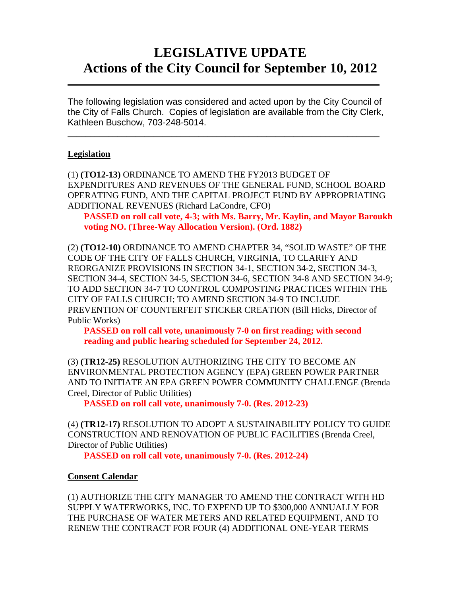# **LEGISLATIVE UPDATE Actions of the City Council for September 10, 2012**

The following legislation was considered and acted upon by the City Council of the City of Falls Church. Copies of legislation are available from the City Clerk, Kathleen Buschow, 703-248-5014.

 $\_$ 

 $\mathcal{L}_\text{max} = \mathcal{L}_\text{max} = \mathcal{L}_\text{max} = \mathcal{L}_\text{max} = \mathcal{L}_\text{max} = \mathcal{L}_\text{max} = \mathcal{L}_\text{max} = \mathcal{L}_\text{max} = \mathcal{L}_\text{max} = \mathcal{L}_\text{max} = \mathcal{L}_\text{max} = \mathcal{L}_\text{max} = \mathcal{L}_\text{max} = \mathcal{L}_\text{max} = \mathcal{L}_\text{max} = \mathcal{L}_\text{max} = \mathcal{L}_\text{max} = \mathcal{L}_\text{max} = \mathcal{$ 

## **Legislation**

(1) **(TO12-13)** ORDINANCE TO AMEND THE FY2013 BUDGET OF EXPENDITURES AND REVENUES OF THE GENERAL FUND, SCHOOL BOARD OPERATING FUND, AND THE CAPITAL PROJECT FUND BY APPROPRIATING ADDITIONAL REVENUES (Richard LaCondre, CFO)

**PASSED on roll call vote, 4-3; with Ms. Barry, Mr. Kaylin, and Mayor Baroukh voting NO. (Three-Way Allocation Version). (Ord. 1882)**

(2) **(TO12-10)** ORDINANCE TO AMEND CHAPTER 34, "SOLID WASTE" OF THE CODE OF THE CITY OF FALLS CHURCH, VIRGINIA, TO CLARIFY AND REORGANIZE PROVISIONS IN SECTION 34-1, SECTION 34-2, SECTION 34-3, SECTION 34-4, SECTION 34-5, SECTION 34-6, SECTION 34-8 AND SECTION 34-9; TO ADD SECTION 34-7 TO CONTROL COMPOSTING PRACTICES WITHIN THE CITY OF FALLS CHURCH; TO AMEND SECTION 34-9 TO INCLUDE PREVENTION OF COUNTERFEIT STICKER CREATION (Bill Hicks, Director of Public Works)

**PASSED on roll call vote, unanimously 7-0 on first reading; with second reading and public hearing scheduled for September 24, 2012.**

(3) **(TR12-25)** RESOLUTION AUTHORIZING THE CITY TO BECOME AN ENVIRONMENTAL PROTECTION AGENCY (EPA) GREEN POWER PARTNER AND TO INITIATE AN EPA GREEN POWER COMMUNITY CHALLENGE (Brenda Creel, Director of Public Utilities)

 **PASSED on roll call vote, unanimously 7-0. (Res. 2012-23)** 

(4) **(TR12-17)** RESOLUTION TO ADOPT A SUSTAINABILITY POLICY TO GUIDE CONSTRUCTION AND RENOVATION OF PUBLIC FACILITIES (Brenda Creel, Director of Public Utilities)

 **PASSED on roll call vote, unanimously 7-0. (Res. 2012-24)** 

#### **Consent Calendar**

(1) AUTHORIZE THE CITY MANAGER TO AMEND THE CONTRACT WITH HD SUPPLY WATERWORKS, INC. TO EXPEND UP TO \$300,000 ANNUALLY FOR THE PURCHASE OF WATER METERS AND RELATED EQUIPMENT, AND TO RENEW THE CONTRACT FOR FOUR (4) ADDITIONAL ONE-YEAR TERMS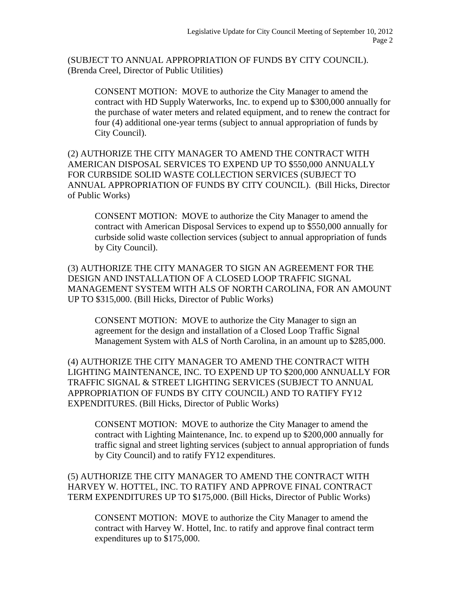(SUBJECT TO ANNUAL APPROPRIATION OF FUNDS BY CITY COUNCIL). (Brenda Creel, Director of Public Utilities)

CONSENT MOTION: MOVE to authorize the City Manager to amend the contract with HD Supply Waterworks, Inc. to expend up to \$300,000 annually for the purchase of water meters and related equipment, and to renew the contract for four (4) additional one-year terms (subject to annual appropriation of funds by City Council).

(2) AUTHORIZE THE CITY MANAGER TO AMEND THE CONTRACT WITH AMERICAN DISPOSAL SERVICES TO EXPEND UP TO \$550,000 ANNUALLY FOR CURBSIDE SOLID WASTE COLLECTION SERVICES (SUBJECT TO ANNUAL APPROPRIATION OF FUNDS BY CITY COUNCIL). (Bill Hicks, Director of Public Works)

CONSENT MOTION: MOVE to authorize the City Manager to amend the contract with American Disposal Services to expend up to \$550,000 annually for curbside solid waste collection services (subject to annual appropriation of funds by City Council).

(3) AUTHORIZE THE CITY MANAGER TO SIGN AN AGREEMENT FOR THE DESIGN AND INSTALLATION OF A CLOSED LOOP TRAFFIC SIGNAL MANAGEMENT SYSTEM WITH ALS OF NORTH CAROLINA, FOR AN AMOUNT UP TO \$315,000. (Bill Hicks, Director of Public Works)

CONSENT MOTION: MOVE to authorize the City Manager to sign an agreement for the design and installation of a Closed Loop Traffic Signal Management System with ALS of North Carolina, in an amount up to \$285,000.

(4) AUTHORIZE THE CITY MANAGER TO AMEND THE CONTRACT WITH LIGHTING MAINTENANCE, INC. TO EXPEND UP TO \$200,000 ANNUALLY FOR TRAFFIC SIGNAL & STREET LIGHTING SERVICES (SUBJECT TO ANNUAL APPROPRIATION OF FUNDS BY CITY COUNCIL) AND TO RATIFY FY12 EXPENDITURES. (Bill Hicks, Director of Public Works)

CONSENT MOTION: MOVE to authorize the City Manager to amend the contract with Lighting Maintenance, Inc. to expend up to \$200,000 annually for traffic signal and street lighting services (subject to annual appropriation of funds by City Council) and to ratify FY12 expenditures.

(5) AUTHORIZE THE CITY MANAGER TO AMEND THE CONTRACT WITH HARVEY W. HOTTEL, INC. TO RATIFY AND APPROVE FINAL CONTRACT TERM EXPENDITURES UP TO \$175,000. (Bill Hicks, Director of Public Works)

CONSENT MOTION: MOVE to authorize the City Manager to amend the contract with Harvey W. Hottel, Inc. to ratify and approve final contract term expenditures up to \$175,000.